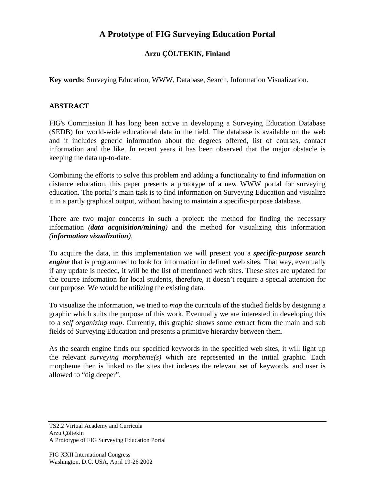## **A Prototype of FIG Surveying Education Portal**

## **Arzu ÇÖLTEKIN, Finland**

**Key words**: Surveying Education, WWW, Database, Search, Information Visualization.

## **ABSTRACT**

FIG's Commission II has long been active in developing a Surveying Education Database (SEDB) for world-wide educational data in the field. The database is available on the web and it includes generic information about the degrees offered, list of courses, contact information and the like. In recent years it has been observed that the major obstacle is keeping the data up-to-date.

Combining the efforts to solve this problem and adding a functionality to find information on distance education, this paper presents a prototype of a new WWW portal for surveying education. The portal's main task is to find information on Surveying Education and visualize it in a partly graphical output, without having to maintain a specific-purpose database.

There are two major concerns in such a project: the method for finding the necessary information *(data acquisition/mining)* and the method for visualizing this information *(information visualization)*.

To acquire the data, in this implementation we will present you a *specific-purpose search engine* that is programmed to look for information in defined web sites. That way, eventually if any update is needed, it will be the list of mentioned web sites. These sites are updated for the course information for local students, therefore, it doesn't require a special attention for our purpose. We would be utilizing the existing data.

To visualize the information, we tried to *map* the curricula of the studied fields by designing a graphic which suits the purpose of this work. Eventually we are interested in developing this to a *self organizing map*. Currently, this graphic shows some extract from the main and sub fields of Surveying Education and presents a primitive hierarchy between them.

As the search engine finds our specified keywords in the specified web sites, it will light up the relevant *surveying morpheme(s)* which are represented in the initial graphic. Each morpheme then is linked to the sites that indexes the relevant set of keywords, and user is allowed to "dig deeper".